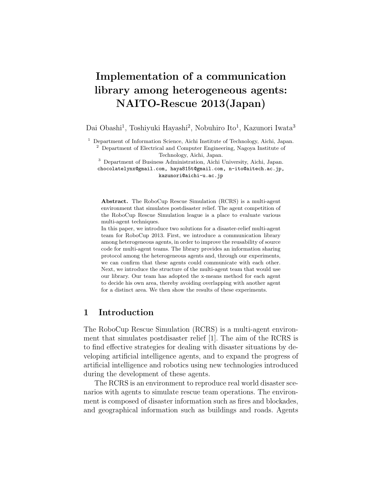# **Implementation of a communication library among heterogeneous agents: NAITO-Rescue 2013(Japan)**

Dai Obashi<sup>1</sup>, Toshiyuki Hayashi<sup>2</sup>, Nobuhiro Ito<sup>1</sup>, Kazunori Iwata<sup>3</sup>

<sup>1</sup> Department of Information Science, Aichi Institute of Technology, Aichi, Japan. <sup>2</sup> Department of Electrical and Computer Engineering, Nagoya Institute of

Technology, Aichi, Japan.

<sup>3</sup> Department of Business Administration, Aichi University, Aichi, Japan. chocolatelynx@gmail.com, haya815t@gmail.com, n-ito@aitech.ac.jp, kazunori@aichi-u.ac.jp

**Abstract.** The RoboCup Rescue Simulation (RCRS) is a multi-agent environment that simulates postdisaster relief. The agent competition of the RoboCup Rescue Simulation league is a place to evaluate various multi-agent techniques.

In this paper, we introduce two solutions for a disaster-relief multi-agent team for RoboCup 2013. First, we introduce a communication library among heterogeneous agents, in order to improve the reusability of source code for multi-agent teams. The library provides an information sharing protocol among the heterogeneous agents and, through our experiments, we can confirm that these agents could communicate with each other. Next, we introduce the structure of the multi-agent team that would use our library. Our team has adopted the x-means method for each agent to decide his own area, thereby avoiding overlapping with another agent for a distinct area. We then show the results of these experiments.

## **1 Introduction**

The RoboCup Rescue Simulation (RCRS) is a multi-agent environment that simulates postdisaster relief [1]. The aim of the RCRS is to find effective strategies for dealing with disaster situations by developing artificial intelligence agents, and to expand the progress of artificial intelligence and robotics using new technologies introduced during the development of these agents.

The RCRS is an environment to reproduce real world disaster scenarios with agents to simulate rescue team operations. The environment is composed of disaster information such as fires and blockades, and geographical information such as buildings and roads. Agents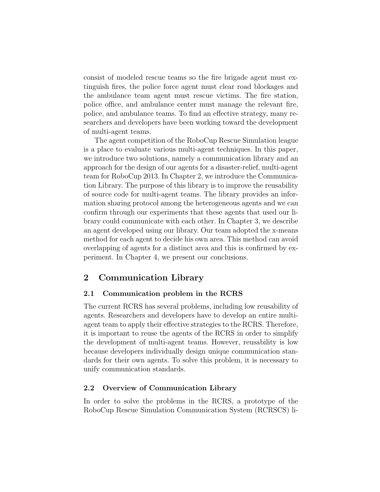consist of modeled rescue teams so the fire brigade agent must extinguish fires, the police force agent must clear road blockages and the ambulance team agent must rescue victims. The fire station, police office, and ambulance center must manage the relevant fire, police, and ambulance teams. To find an effective strategy, many researchers and developers have been working toward the development of multi-agent teams.

The agent competition of the RoboCup Rescue Simulation league is a place to evaluate various multi-agent techniques. In this paper, we introduce two solutions, namely a communication library and an approach for the design of our agents for a disaster-relief, multi-agent team for RoboCup 2013. In Chapter 2, we introduce the Communication Library. The purpose of this library is to improve the reusability of source code for multi-agent teams. The library provides an information sharing protocol among the heterogeneous agents and we can confirm through our experiments that these agents that used our library could communicate with each other. In Chapter 3, we describe an agent developed using our library. Our team adopted the x-means method for each agent to decide his own area. This method can avoid overlapping of agents for a distinct area and this is confirmed by experiment. In Chapter 4, we present our conclusions.

## **2 Communication Library**

## **2.1 Communication problem in the RCRS**

The current RCRS has several problems, including low reusability of agents. Researchers and developers have to develop an entire multiagent team to apply their effective strategies to the RCRS. Therefore, it is important to reuse the agents of the RCRS in order to simplify the development of multi-agent teams. However, reusability is low because developers individually design unique communication standards for their own agents. To solve this problem, it is necessary to unify communication standards.

## **2.2 Overview of Communication Library**

In order to solve the problems in the RCRS, a prototype of the RoboCup Rescue Simulation Communication System (RCRSCS) li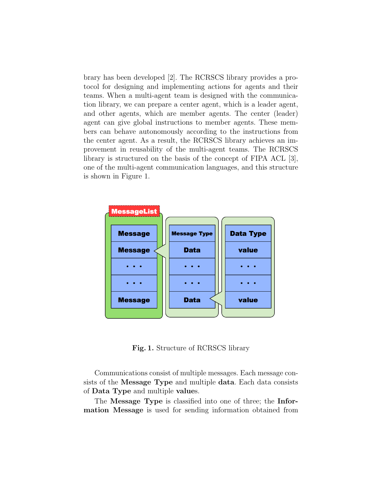brary has been developed [2]. The RCRSCS library provides a protocol for designing and implementing actions for agents and their teams. When a multi-agent team is designed with the communication library, we can prepare a center agent, which is a leader agent, and other agents, which are member agents. The center (leader) agent can give global instructions to member agents. These members can behave autonomously according to the instructions from the center agent. As a result, the RCRSCS library achieves an improvement in reusability of the multi-agent teams. The RCRSCS library is structured on the basis of the concept of FIPA ACL [3], one of the multi-agent communication languages, and this structure is shown in Figure 1.



**Fig. 1.** Structure of RCRSCS library

Communications consist of multiple messages. Each message consists of the **Message Type** and multiple **data**. Each data consists of **Data Type** and multiple **value**s.

The **Message Type** is classified into one of three; the **Information Message** is used for sending information obtained from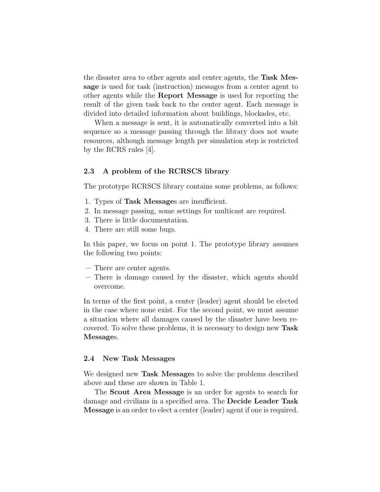the disaster area to other agents and center agents, the **Task Message** is used for task (instruction) messages from a center agent to other agents while the **Report Message** is used for reporting the result of the given task back to the center agent. Each message is divided into detailed information about buildings, blockades, etc.

When a message is sent, it is automatically converted into a bit sequence so a message passing through the library does not waste resources, although message length per simulation step is restricted by the RCRS rules [4].

#### **2.3 A problem of the RCRSCS library**

The prototype RCRSCS library contains some problems, as follows:

- 1. Types of **Task Message**s are insufficient.
- 2. In message passing, some settings for multicast are required.
- 3. There is little documentation.
- 4. There are still some bugs.

In this paper, we focus on point 1. The prototype library assumes the following two points:

- **–** There are center agents.
- **–** There is damage caused by the disaster, which agents should overcome.

In terms of the first point, a center (leader) agent should be elected in the case where none exist. For the second point, we must assume a situation where all damages caused by the disaster have been recovered. To solve these problems, it is necessary to design new **Task Message**s.

#### **2.4 New Task Messages**

We designed new **Task Message**s to solve the problems described above and these are shown in Table 1.

The **Scout Area Message** is an order for agents to search for damage and civilians in a specified area. The **Decide Leader Task Message** is an order to elect a center (leader) agent if one is required.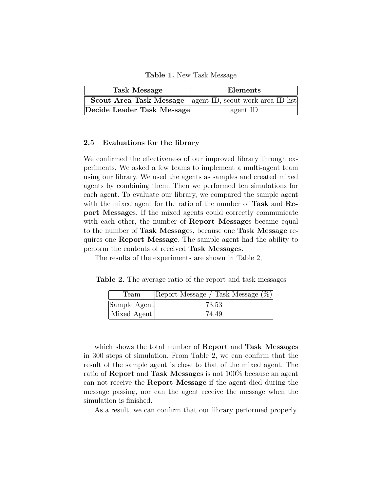**Table 1.** New Task Message

| <b>Task Message</b>        | Elements                                                           |
|----------------------------|--------------------------------------------------------------------|
|                            | <b>Scout Area Task Message</b>   agent ID, scout work area ID list |
| Decide Leader Task Message | agent ID                                                           |

#### **2.5 Evaluations for the library**

We confirmed the effectiveness of our improved library through experiments. We asked a few teams to implement a multi-agent team using our library. We used the agents as samples and created mixed agents by combining them. Then we performed ten simulations for each agent. To evaluate our library, we compared the sample agent with the mixed agent for the ratio of the number of **Task** and **Report Message**s. If the mixed agents could correctly communicate with each other, the number of **Report Message**s became equal to the number of **Task Message**s, because one **Task Message** requires one **Report Message**. The sample agent had the ability to perform the contents of received **Task Messages**.

The results of the experiments are shown in Table 2,

**Table 2.** The average ratio of the report and task messages

| Team         | Report Message / Task Message (%) |
|--------------|-----------------------------------|
| Sample Agent | 73.53                             |
| Mixed Agent  | 74.49                             |

which shows the total number of **Report** and **Task Message**s in 300 steps of simulation. From Table 2, we can confirm that the result of the sample agent is close to that of the mixed agent. The ratio of **Report** and **Task Message**s is not 100% because an agent can not receive the **Report Message** if the agent died during the message passing, nor can the agent receive the message when the simulation is finished.

As a result, we can confirm that our library performed properly.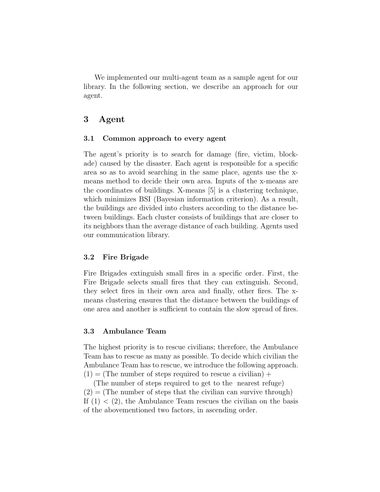We implemented our multi-agent team as a sample agent for our library. In the following section, we describe an approach for our agent.

## **3 Agent**

#### **3.1 Common approach to every agent**

The agent's priority is to search for damage (fire, victim, blockade) caused by the disaster. Each agent is responsible for a specific area so as to avoid searching in the same place, agents use the xmeans method to decide their own area. Inputs of the x-means are the coordinates of buildings. X-means [5] is a clustering technique, which minimizes BSI (Bayesian information criterion). As a result, the buildings are divided into clusters according to the distance between buildings. Each cluster consists of buildings that are closer to its neighbors than the average distance of each building. Agents used our communication library.

## **3.2 Fire Brigade**

Fire Brigades extinguish small fires in a specific order. First, the Fire Brigade selects small fires that they can extinguish. Second, they select fires in their own area and finally, other fires. The xmeans clustering ensures that the distance between the buildings of one area and another is sufficient to contain the slow spread of fires.

### **3.3 Ambulance Team**

The highest priority is to rescue civilians; therefore, the Ambulance Team has to rescue as many as possible. To decide which civilian the Ambulance Team has to rescue, we introduce the following approach.  $(1) =$  (The number of steps required to rescue a civilian) +

(The number of steps required to get to the nearest refuge)  $(2) =$  (The number of steps that the civilian can survive through) If  $(1)$  <  $(2)$ , the Ambulance Team rescues the civilian on the basis of the abovementioned two factors, in ascending order.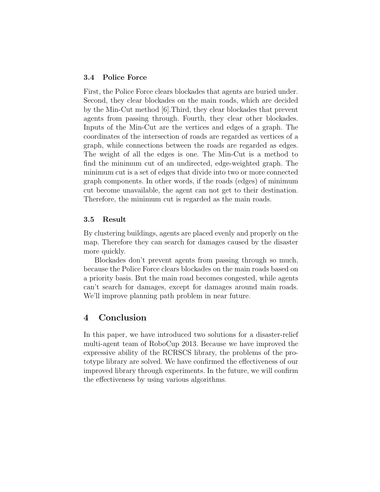## **3.4 Police Force**

First, the Police Force clears blockades that agents are buried under. Second, they clear blockades on the main roads, which are decided by the Min-Cut method [6].Third, they clear blockades that prevent agents from passing through. Fourth, they clear other blockades. Inputs of the Min-Cut are the vertices and edges of a graph. The coordinates of the intersection of roads are regarded as vertices of a graph, while connections between the roads are regarded as edges. The weight of all the edges is one. The Min-Cut is a method to find the minimum cut of an undirected, edge-weighted graph. The minimum cut is a set of edges that divide into two or more connected graph components. In other words, if the roads (edges) of minimum cut become unavailable, the agent can not get to their destination. Therefore, the minimum cut is regarded as the main roads.

#### **3.5 Result**

By clustering buildings, agents are placed evenly and properly on the map. Therefore they can search for damages caused by the disaster more quickly.

Blockades don't prevent agents from passing through so much, because the Police Force clears blockades on the main roads based on a priority basis. But the main road becomes congested, while agents can't search for damages, except for damages around main roads. We'll improve planning path problem in near future.

## **4 Conclusion**

In this paper, we have introduced two solutions for a disaster-relief multi-agent team of RoboCup 2013. Because we have improved the expressive ability of the RCRSCS library, the problems of the prototype library are solved. We have confirmed the effectiveness of our improved library through experiments. In the future, we will confirm the effectiveness by using various algorithms.